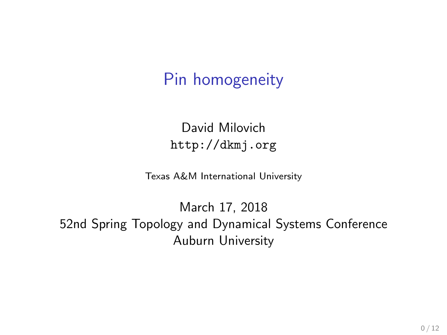## Pin homogeneity

David Milovich <http://dkmj.org>

Texas A&M International University

March 17, 2018 52nd Spring Topology and Dynamical Systems Conference Auburn University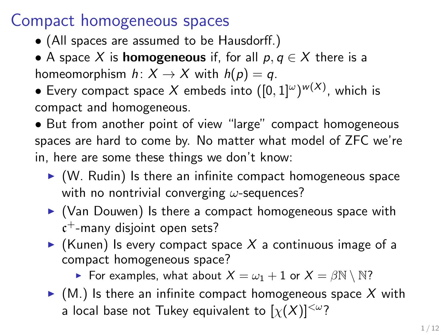## Compact homogeneous spaces

- (All spaces are assumed to be Hausdorff.)
- A space X is **homogeneous** if, for all  $p, q \in X$  there is a homeomorphism  $h: X \to X$  with  $h(p) = q$ .
- $\bullet$  Every compact space  $X$  embeds into  $([0,1]^\omega)^{w(X)}$ , which is compact and homogeneous.
- But from another point of view "large" compact homogeneous spaces are hard to come by. No matter what model of ZFC we're in, here are some these things we don't know:
	- $\triangleright$  (W. Rudin) Is there an infinite compact homogeneous space with no nontrivial converging  $\omega$ -sequences?
	- $\triangleright$  (Van Douwen) Is there a compact homogeneous space with c <sup>+</sup>-many disjoint open sets?
	- $\triangleright$  (Kunen) Is every compact space X a continuous image of a compact homogeneous space?

For examples, what about  $X = \omega_1 + 1$  or  $X = \beta \mathbb{N} \setminus \mathbb{N}$ ?

 $\blacktriangleright$  (M.) Is there an infinite compact homogeneous space X with a local base not Tukey equivalent to  $[\chi(X)]^{<\omega}$ ?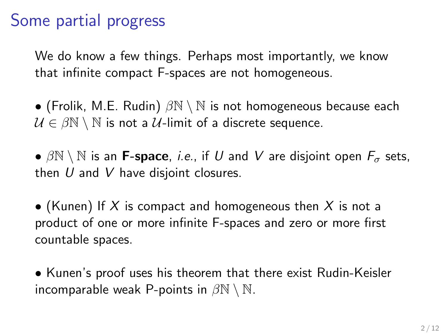## Some partial progress

We do know a few things. Perhaps most importantly, we know that infinite compact F-spaces are not homogeneous.

• (Frolik, M.E. Rudin)  $\beta N \setminus N$  is not homogeneous because each  $U \in \beta \mathbb{N} \setminus \mathbb{N}$  is not a U-limit of a discrete sequence.

•  $\beta \mathbb{N} \setminus \mathbb{N}$  is an **F-space**, *i.e.*, if U and V are disjoint open  $F_{\sigma}$  sets, then  $U$  and  $V$  have disjoint closures.

• (Kunen) If X is compact and homogeneous then X is not a product of one or more infinite F-spaces and zero or more first countable spaces.

• Kunen's proof uses his theorem that there exist Rudin-Keisler incomparable weak P-points in  $\beta \mathbb{N} \setminus \mathbb{N}$ .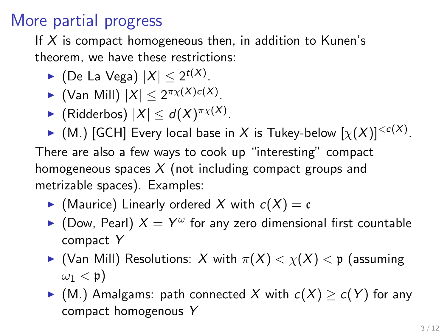## More partial progress

If  $X$  is compact homogeneous then, in addition to Kunen's theorem, we have these restrictions:

- ► (De La Vega)  $|X| \leq 2^{t(X)}$ .
- ► (Van Mill)  $|X| \leq 2^{\pi \chi(X)c(X)}$ .
- $\blacktriangleright$  (Ridderbos)  $|X| \leq d(X)^{\pi \chi(X)}$ .

 $\blacktriangleright$  (M.) [GCH] Every local base in  $X$  is Tukey-below  $[\chi(X)]^{< c(X)}$ . There are also a few ways to cook up "interesting" compact homogeneous spaces  $X$  (not including compact groups and metrizable spaces). Examples:

- $\blacktriangleright$  (Maurice) Linearly ordered X with  $c(X) = c$
- $\blacktriangleright$  (Dow, Pearl)  $X = Y^\omega$  for any zero dimensional first countable compact Y
- $\blacktriangleright$  (Van Mill) Resolutions: X with  $\pi(X) < \chi(X) < \mathfrak{p}$  (assuming  $\omega_1 < \mathfrak{p}$ )
- ► (M.) Amalgams: path connected X with  $c(X) \geq c(Y)$  for any compact homogenous Y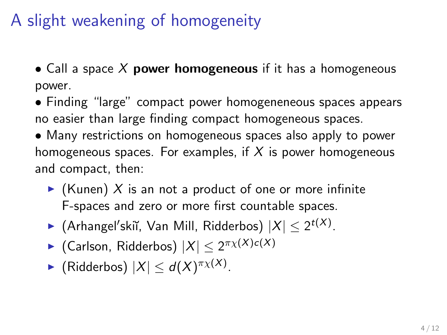## A slight weakening of homogeneity

• Call a space X power homogeneous if it has a homogeneous power.

- Finding "large" compact power homogeneneous spaces appears no easier than large finding compact homogeneous spaces.
- Many restrictions on homogeneous spaces also apply to power homogeneous spaces. For examples, if  $X$  is power homogeneous and compact, then:
	- $\triangleright$  (Kunen) X is an not a product of one or more infinite F-spaces and zero or more first countable spaces.
	- ► (Arhangel'skiĭ, Van Mill, Ridderbos)  $|X| \leq 2^{t(X)}$ .
	- ► (Carlson, Ridderbos)  $|X| \leq 2^{\pi\chi(X)c(X)}$
	- ► (Ridderbos)  $|X| \le d(X)^{\pi_X(X)}$ .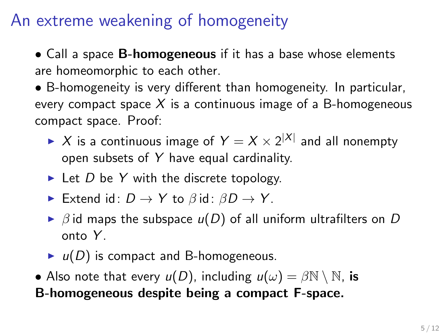## An extreme weakening of homogeneity

• Call a space **B-homogeneous** if it has a base whose elements are homeomorphic to each other.

• B-homogeneity is very different than homogeneity. In particular, every compact space  $X$  is a continuous image of a B-homogeneous compact space. Proof:

- $\blacktriangleright$   $X$  is a continuous image of  $Y = X \times 2^{|X|}$  and all nonempty open subsets of Y have equal cardinality.
- $\blacktriangleright$  Let D be Y with the discrete topology.
- Extend id:  $D \to Y$  to  $\beta$  id:  $\beta D \to Y$ .
- $\triangleright$   $\beta$  id maps the subspace  $u(D)$  of all uniform ultrafilters on D onto  $Y$ .
- $\blacktriangleright$   $u(D)$  is compact and B-homogeneous.
- Also note that every  $u(D)$ , including  $u(\omega) = \beta \mathbb{N} \setminus \mathbb{N}$ , is B-homogeneous despite being a compact F-space.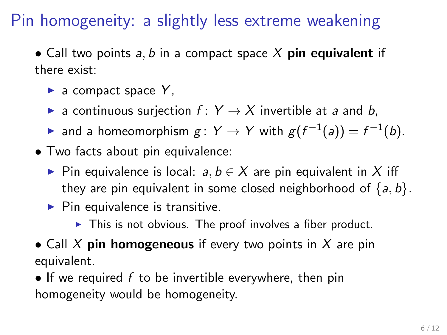## Pin homogeneity: a slightly less extreme weakening

• Call two points a, b in a compact space  $X$  pin equivalent if there exist:

- $\blacktriangleright$  a compact space Y.
- **E** a continuous surjection  $f: Y \rightarrow X$  invertible at a and b,
- ► and a homeomorphism  $g: Y \to Y$  with  $g(f^{-1}(a)) = f^{-1}(b)$ .
- Two facts about pin equivalence:
	- $\triangleright$  Pin equivalence is local: a,  $b \in X$  are pin equivalent in X iff they are pin equivalent in some closed neighborhood of  $\{a, b\}$ .
	- $\blacktriangleright$  Pin equivalence is transitive.
		- $\triangleright$  This is not obvious. The proof involves a fiber product.
- Call  $X$  pin homogeneous if every two points in  $X$  are pin equivalent.
- If we required  $f$  to be invertible everywhere, then pin homogeneity would be homogeneity.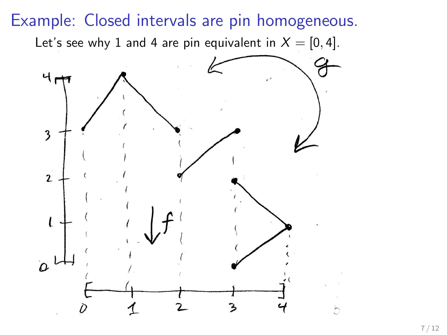Example: Closed intervals are pin homogeneous. Let's see why 1 and 4 are pin equivalent in  $X = [0, 4]$ . ч, 3  $\overline{2}$  $\iota$  $\overline{a}$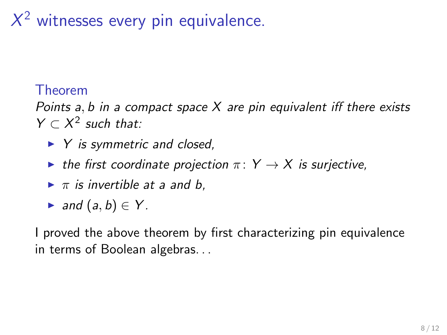# $X^2$  witnesses every pin equivalence.

### Theorem

Points  $a, b$  in a compact space  $X$  are pin equivalent iff there exists  $Y \subset X^2$  such that:

- $\blacktriangleright$  Y is symmetric and closed,
- ighthroportal the first coordinate projection  $\pi: Y \to X$  is surjective,
- $\blacktriangleright \pi$  is invertible at a and b.
- and  $(a, b) \in Y$ .

I proved the above theorem by first characterizing pin equivalence in terms of Boolean algebras. . .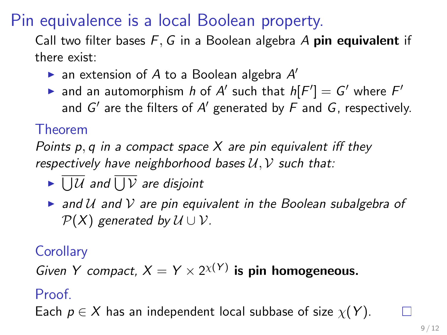Pin equivalence is a local Boolean property.

Call two filter bases  $F$ , G in a Boolean algebra A pin equivalent if there exist:

- $\blacktriangleright$  an extension of A to a Boolean algebra A'
- ightharpoonup and an automorphism h of  $A'$  such that  $h[F'] = G'$  where  $F'$ and  $G'$  are the filters of  $A'$  generated by  $F$  and  $G$ , respectively.

### Theorem

Points p, q in a compact space  $X$  are pin equivalent iff they respectively have neighborhood bases  $U, V$  such that:

- $\blacktriangleright \bigcup \mathcal{U}$  and  $\bigcup \mathcal{V}$  are disjoint
- $\triangleright$  and U and V are pin equivalent in the Boolean subalgebra of  $P(X)$  generated by  $U \cup V$ .

### **Corollary**

Given Y compact,  $X = Y \times 2^{X(Y)}$  is pin homogeneous.

#### Proof.

Each  $p \in X$  has an independent local subbase of size  $\chi(Y)$ .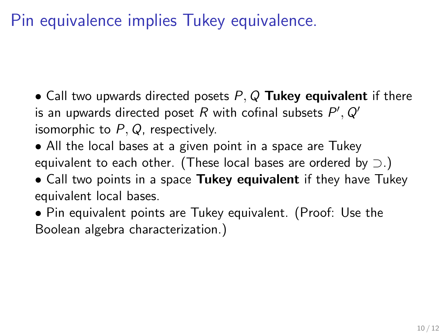Pin equivalence implies Tukey equivalence.

- Call two upwards directed posets  $P, Q$  Tukey equivalent if there is an upwards directed poset  $R$  with cofinal subsets  $P', Q'$ isomorphic to  $P$ ,  $Q$ , respectively.
- All the local bases at a given point in a space are Tukey equivalent to each other. (These local bases are ordered by  $\supset$ .)
- Call two points in a space Tukey equivalent if they have Tukey equivalent local bases.
- Pin equivalent points are Tukey equivalent. (Proof: Use the Boolean algebra characterization.)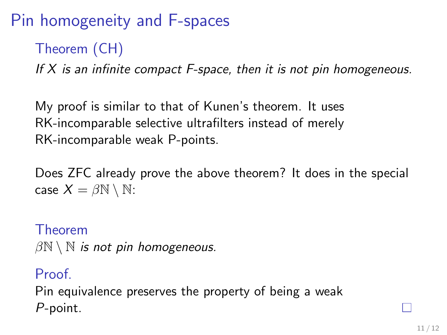## Pin homogeneity and F-spaces

### Theorem (CH)

If  $X$  is an infinite compact F-space, then it is not pin homogeneous.

My proof is similar to that of Kunen's theorem. It uses RK-incomparable selective ultrafilters instead of merely RK-incomparable weak P-points.

Does ZFC already prove the above theorem? It does in the special case  $X = \beta \mathbb{N} \setminus \mathbb{N}$ :

Theorem  $\beta \mathbb{N} \setminus \mathbb{N}$  is not pin homogeneous.

Proof. Pin equivalence preserves the property of being a weak P-point.